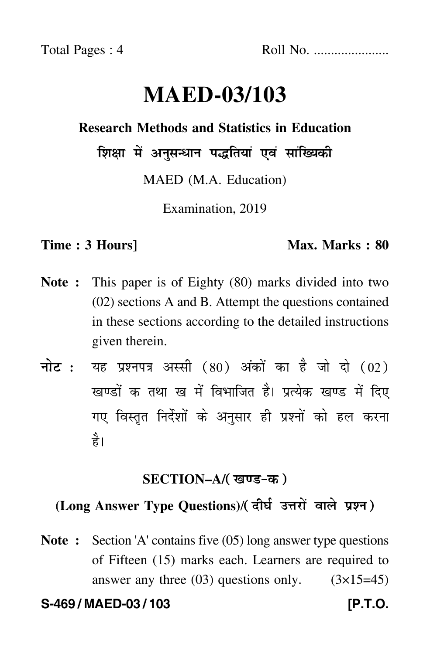# **MAED-03/103**

# **Research Methods and Statistics in Education**

शिक्षा में अनुसन्धान पद्धतियां एवं सांख्यिकी

MAED (M.A. Education)

Examination, 2019

#### **Time : 3 Hours]** Max. Marks : 80

- **Note :** This paper is of Eighty (80) marks divided into two (02) sections A and B. Attempt the questions contained in these sections according to the detailed instructions given therein.
- नोट : यह प्रश्नपत्र अस्सी (80) अंकों का है जो दो (02) खण्डों क तथा ख में विभाजित है। प्रत्येक खण्ड में दिए गए विस्तृत निर्देशों के अनुसार ही प्रश्नों को हल करन<mark>ा</mark> है।

# **SECTION–A/**

# (Long Answer Type Questions)/( दीर्घ उत्तरों वाले प्रश्न )

**Note :** Section 'A' contains five (05) long answer type questions of Fifteen (15) marks each. Learners are required to answer any three  $(03)$  questions only.  $(3\times15=45)$ 

**S-469 / MAED-03 / 103 [P.T.O.**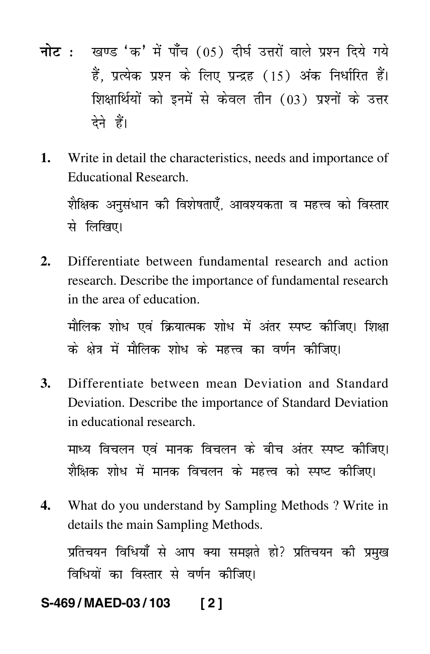- <mark>नोट</mark> : खण्ड 'क' में पाँच (05) दीर्घ उत्तरों वाले प्रश्न दिये गये हैं, प्रत्येक प्रश्न के लिए प्रन्द्रह (15) अंक निर्धारित हैं। शिक्षार्थियों को इनमें से केवल तीन (03) प्रश्नों के उत्तर देने हैं।
- **1.** Write in detail the characteristics, needs and importance of Educational Research.

शैक्षिक अनुसंधान की विशेषताएँ, आवश्यकता व महत्त्व को विस्तार से लिखिए।

**2.** Differentiate between fundamental research and action research. Describe the importance of fundamental research in the area of education.

मौलिक शोध एवं क्रियात्मक शोध में अंतर स्पष्ट कीजिए। शिक्ष ---के क्षेत्र में मौलिक शोध के महत्त्व का वर्णन कीजिए। -

**3.** Differentiate between mean Deviation and Standard Deviation. Describe the importance of Standard Deviation in educational research.

माध्य विचलन एवं मानक विचलन के बीच अंतर स्पष्ट कीजिए। शैक्षिक शोध में मानक विचलन के महत्त्व को स्पष्ट कीजिए। -

**4.** What do you understand by Sampling Methods ? Write in details the main Sampling Methods.

प्रतिचयन विधियाँ से आप क्या समझते हो? प्रतिचयन की प्रमुख विधियों का विस्तार से वर्णन कीजिए।

# **S-469 / MAED-03 / 103 [ 2 ]**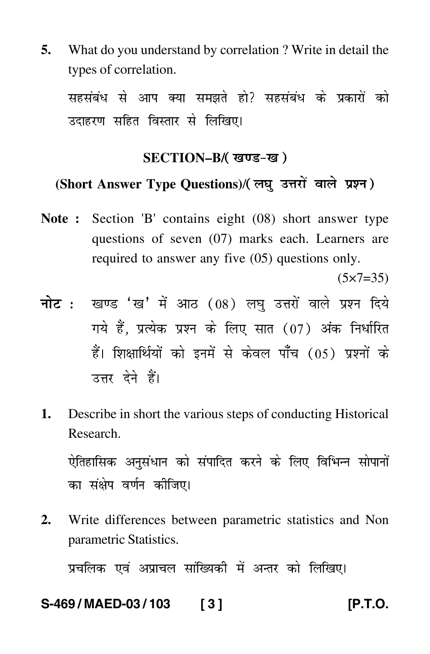**5.** What do you understand by correlation ? Write in detail the types of correlation.

सहसंबंध से आप क्या समझते हो? सहसंबंध के प्रकारों को उदाहरण सहित विस्तार से लिखिए।

#### **SECTION–B/**

# (Short Answer Type Questions)/( लघु उत्तरों वाले प्रश्न )

**Note :** Section 'B' contains eight (08) short answer type questions of seven (07) marks each. Learners are required to answer any five (05) questions only.

 $(5 \times 7 = 35)$ 

- <mark>नोट</mark> : खण्ड 'ख' में आठ (08) लघु उत्तरों वाले प्रश्न दिये गये हैं, प्रत्येक प्रश्न के लिए सात (07) अंक निर्धारित हैं। शिक्षार्थियों को इनमें से केवल पाँच (05) प्रश्नों के उत्तर देने हैं।
- **1.** Describe in short the various steps of conducting Historical Research.

ऐतिहासिक अनुसंधान को संपादित करने के लिए विभिन्न सोपानों  $\ddot{\phantom{a}}$ का संक्षेप वर्णन कीजिए।

**2.** Write differences between parametric statistics and Non parametric Statistics.

प्रचलिक एवं अप्राचल सांख्यिकी में अन्तर को लिखिए।

# **S-469 / MAED-03 / 103 [ 3 ] [P.T.O.**